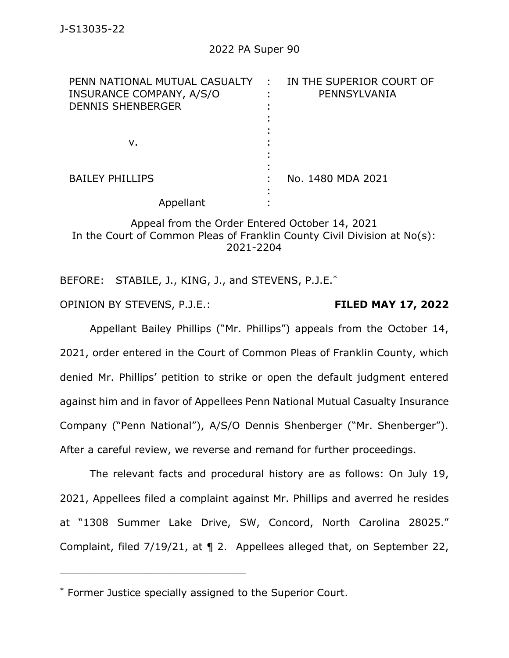| PENN NATIONAL MUTUAL CASUALTY<br>INSURANCE COMPANY, A/S/O<br><b>DENNIS SHENBERGER</b> | IN THE SUPERIOR COURT OF<br>$\sim$ 1<br>PENNSYLVANIA |
|---------------------------------------------------------------------------------------|------------------------------------------------------|
| v.                                                                                    |                                                      |
| <b>BAILEY PHILLIPS</b>                                                                | No. 1480 MDA 2021                                    |
| Appellant                                                                             |                                                      |

## Appeal from the Order Entered October 14, 2021 In the Court of Common Pleas of Franklin County Civil Division at No(s): 2021-2204

BEFORE: STABILE, J., KING, J., and STEVENS, P.J.E.<sup>\*</sup>

OPINION BY STEVENS, P.J.E.: **FILED MAY 17, 2022**

Appellant Bailey Phillips ("Mr. Phillips") appeals from the October 14, 2021, order entered in the Court of Common Pleas of Franklin County, which denied Mr. Phillips' petition to strike or open the default judgment entered against him and in favor of Appellees Penn National Mutual Casualty Insurance Company ("Penn National"), A/S/O Dennis Shenberger ("Mr. Shenberger"). After a careful review, we reverse and remand for further proceedings.

The relevant facts and procedural history are as follows: On July 19, 2021, Appellees filed a complaint against Mr. Phillips and averred he resides at "1308 Summer Lake Drive, SW, Concord, North Carolina 28025." Complaint, filed 7/19/21, at ¶ 2. Appellees alleged that, on September 22,

<sup>\*</sup> Former Justice specially assigned to the Superior Court.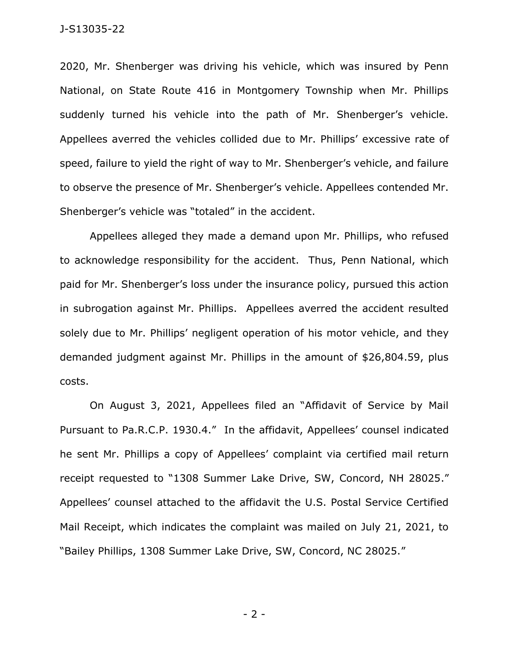#### J-S13035-22

2020, Mr. Shenberger was driving his vehicle, which was insured by Penn National, on State Route 416 in Montgomery Township when Mr. Phillips suddenly turned his vehicle into the path of Mr. Shenberger's vehicle. Appellees averred the vehicles collided due to Mr. Phillips' excessive rate of speed, failure to yield the right of way to Mr. Shenberger's vehicle, and failure to observe the presence of Mr. Shenberger's vehicle. Appellees contended Mr. Shenberger's vehicle was "totaled" in the accident.

Appellees alleged they made a demand upon Mr. Phillips, who refused to acknowledge responsibility for the accident. Thus, Penn National, which paid for Mr. Shenberger's loss under the insurance policy, pursued this action in subrogation against Mr. Phillips. Appellees averred the accident resulted solely due to Mr. Phillips' negligent operation of his motor vehicle, and they demanded judgment against Mr. Phillips in the amount of \$26,804.59, plus costs.

On August 3, 2021, Appellees filed an "Affidavit of Service by Mail Pursuant to Pa.R.C.P. 1930.4." In the affidavit, Appellees' counsel indicated he sent Mr. Phillips a copy of Appellees' complaint via certified mail return receipt requested to "1308 Summer Lake Drive, SW, Concord, NH 28025." Appellees' counsel attached to the affidavit the U.S. Postal Service Certified Mail Receipt, which indicates the complaint was mailed on July 21, 2021, to "Bailey Phillips, 1308 Summer Lake Drive, SW, Concord, NC 28025."

- 2 -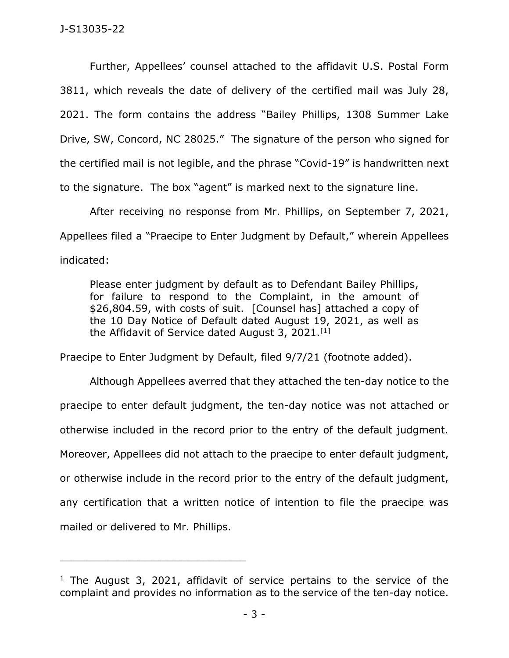Further, Appellees' counsel attached to the affidavit U.S. Postal Form 3811, which reveals the date of delivery of the certified mail was July 28, 2021. The form contains the address "Bailey Phillips, 1308 Summer Lake Drive, SW, Concord, NC 28025." The signature of the person who signed for the certified mail is not legible, and the phrase "Covid-19" is handwritten next to the signature. The box "agent" is marked next to the signature line.

After receiving no response from Mr. Phillips, on September 7, 2021, Appellees filed a "Praecipe to Enter Judgment by Default," wherein Appellees indicated:

Please enter judgment by default as to Defendant Bailey Phillips, for failure to respond to the Complaint, in the amount of \$26,804.59, with costs of suit. [Counsel has] attached a copy of the 10 Day Notice of Default dated August 19, 2021, as well as the Affidavit of Service dated August 3, 2021.<sup>[1]</sup>

Praecipe to Enter Judgment by Default, filed 9/7/21 (footnote added).

Although Appellees averred that they attached the ten-day notice to the praecipe to enter default judgment, the ten-day notice was not attached or otherwise included in the record prior to the entry of the default judgment. Moreover, Appellees did not attach to the praecipe to enter default judgment, or otherwise include in the record prior to the entry of the default judgment, any certification that a written notice of intention to file the praecipe was mailed or delivered to Mr. Phillips.

<sup>&</sup>lt;sup>1</sup> The August 3, 2021, affidavit of service pertains to the service of the complaint and provides no information as to the service of the ten-day notice.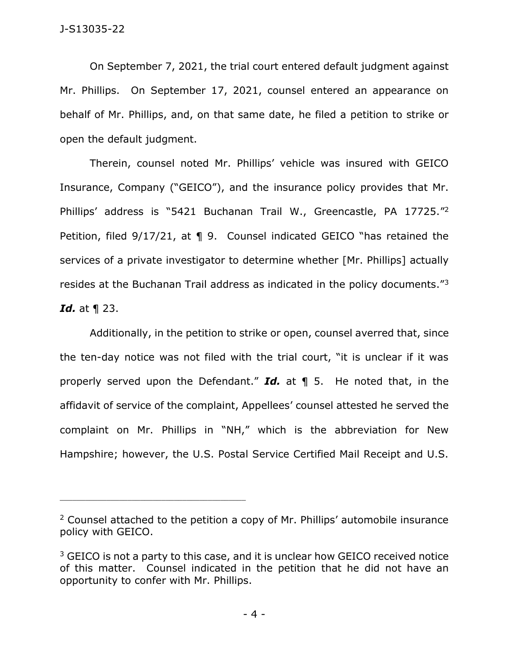On September 7, 2021, the trial court entered default judgment against Mr. Phillips. On September 17, 2021, counsel entered an appearance on behalf of Mr. Phillips, and, on that same date, he filed a petition to strike or open the default judgment.

Therein, counsel noted Mr. Phillips' vehicle was insured with GEICO Insurance, Company ("GEICO"), and the insurance policy provides that Mr. Phillips' address is "5421 Buchanan Trail W., Greencastle, PA 17725."<sup>2</sup> Petition, filed 9/17/21, at ¶ 9. Counsel indicated GEICO "has retained the services of a private investigator to determine whether [Mr. Phillips] actually resides at the Buchanan Trail address as indicated in the policy documents."<sup>3</sup> *Id.* at ¶ 23.

Additionally, in the petition to strike or open, counsel averred that, since the ten-day notice was not filed with the trial court, "it is unclear if it was properly served upon the Defendant." *Id.* at ¶ 5. He noted that, in the affidavit of service of the complaint, Appellees' counsel attested he served the complaint on Mr. Phillips in "NH," which is the abbreviation for New Hampshire; however, the U.S. Postal Service Certified Mail Receipt and U.S.

<sup>&</sup>lt;sup>2</sup> Counsel attached to the petition a copy of Mr. Phillips' automobile insurance policy with GEICO.

<sup>&</sup>lt;sup>3</sup> GEICO is not a party to this case, and it is unclear how GEICO received notice of this matter. Counsel indicated in the petition that he did not have an opportunity to confer with Mr. Phillips.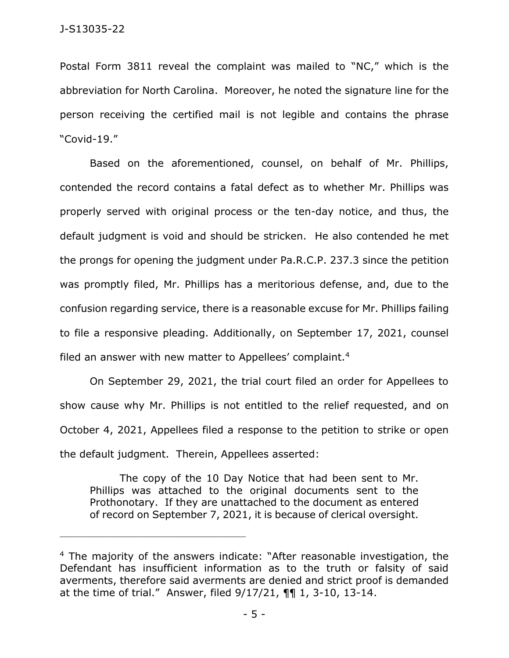Postal Form 3811 reveal the complaint was mailed to "NC," which is the abbreviation for North Carolina. Moreover, he noted the signature line for the person receiving the certified mail is not legible and contains the phrase "Covid-19."

Based on the aforementioned, counsel, on behalf of Mr. Phillips, contended the record contains a fatal defect as to whether Mr. Phillips was properly served with original process or the ten-day notice, and thus, the default judgment is void and should be stricken. He also contended he met the prongs for opening the judgment under Pa.R.C.P. 237.3 since the petition was promptly filed, Mr. Phillips has a meritorious defense, and, due to the confusion regarding service, there is a reasonable excuse for Mr. Phillips failing to file a responsive pleading. Additionally, on September 17, 2021, counsel filed an answer with new matter to Appellees' complaint.<sup>4</sup>

On September 29, 2021, the trial court filed an order for Appellees to show cause why Mr. Phillips is not entitled to the relief requested, and on October 4, 2021, Appellees filed a response to the petition to strike or open the default judgment. Therein, Appellees asserted:

The copy of the 10 Day Notice that had been sent to Mr. Phillips was attached to the original documents sent to the Prothonotary. If they are unattached to the document as entered of record on September 7, 2021, it is because of clerical oversight.

<sup>&</sup>lt;sup>4</sup> The majority of the answers indicate: "After reasonable investigation, the Defendant has insufficient information as to the truth or falsity of said averments, therefore said averments are denied and strict proof is demanded at the time of trial." Answer, filed 9/17/21, ¶¶ 1, 3-10, 13-14.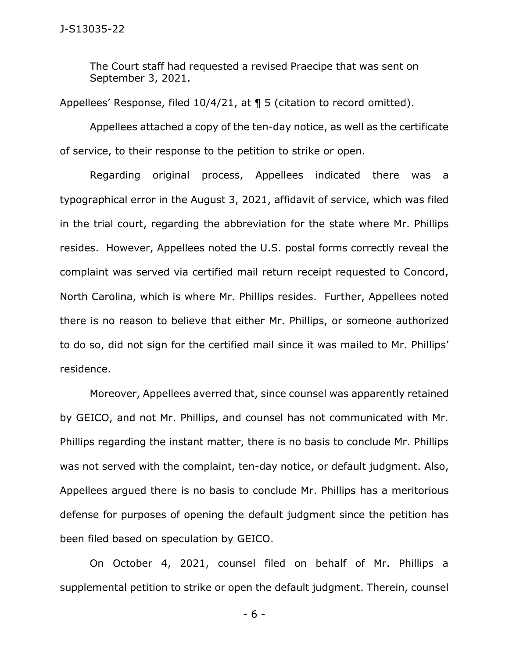The Court staff had requested a revised Praecipe that was sent on September 3, 2021.

Appellees' Response, filed 10/4/21, at ¶ 5 (citation to record omitted).

Appellees attached a copy of the ten-day notice, as well as the certificate of service, to their response to the petition to strike or open.

Regarding original process, Appellees indicated there was a typographical error in the August 3, 2021, affidavit of service, which was filed in the trial court, regarding the abbreviation for the state where Mr. Phillips resides. However, Appellees noted the U.S. postal forms correctly reveal the complaint was served via certified mail return receipt requested to Concord, North Carolina, which is where Mr. Phillips resides. Further, Appellees noted there is no reason to believe that either Mr. Phillips, or someone authorized to do so, did not sign for the certified mail since it was mailed to Mr. Phillips' residence.

Moreover, Appellees averred that, since counsel was apparently retained by GEICO, and not Mr. Phillips, and counsel has not communicated with Mr. Phillips regarding the instant matter, there is no basis to conclude Mr. Phillips was not served with the complaint, ten-day notice, or default judgment. Also, Appellees argued there is no basis to conclude Mr. Phillips has a meritorious defense for purposes of opening the default judgment since the petition has been filed based on speculation by GEICO.

On October 4, 2021, counsel filed on behalf of Mr. Phillips a supplemental petition to strike or open the default judgment. Therein, counsel

- 6 -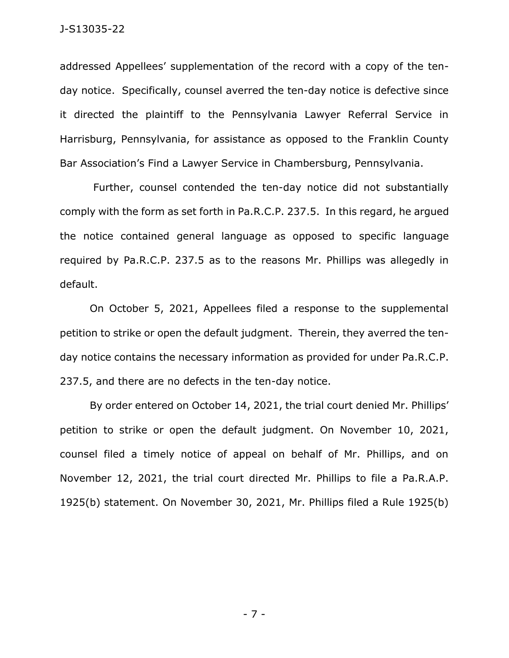addressed Appellees' supplementation of the record with a copy of the tenday notice. Specifically, counsel averred the ten-day notice is defective since it directed the plaintiff to the Pennsylvania Lawyer Referral Service in Harrisburg, Pennsylvania, for assistance as opposed to the Franklin County Bar Association's Find a Lawyer Service in Chambersburg, Pennsylvania.

Further, counsel contended the ten-day notice did not substantially comply with the form as set forth in Pa.R.C.P. 237.5. In this regard, he argued the notice contained general language as opposed to specific language required by Pa.R.C.P. 237.5 as to the reasons Mr. Phillips was allegedly in default.

On October 5, 2021, Appellees filed a response to the supplemental petition to strike or open the default judgment. Therein, they averred the tenday notice contains the necessary information as provided for under Pa.R.C.P. 237.5, and there are no defects in the ten-day notice.

By order entered on October 14, 2021, the trial court denied Mr. Phillips' petition to strike or open the default judgment. On November 10, 2021, counsel filed a timely notice of appeal on behalf of Mr. Phillips, and on November 12, 2021, the trial court directed Mr. Phillips to file a Pa.R.A.P. 1925(b) statement. On November 30, 2021, Mr. Phillips filed a Rule 1925(b)

- 7 -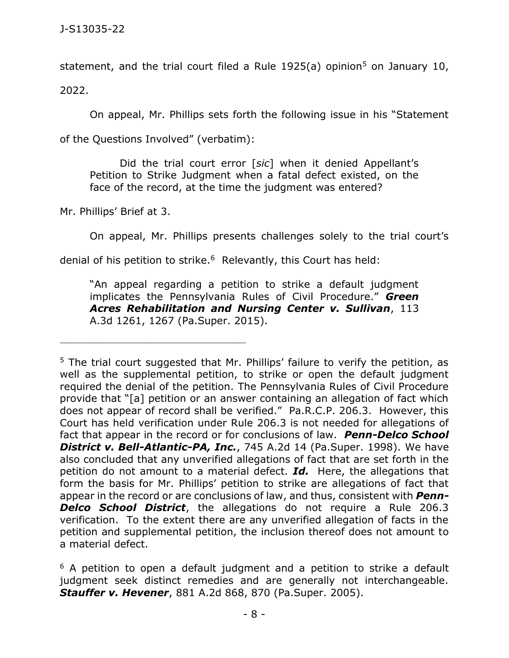statement, and the trial court filed a Rule  $1925(a)$  opinion<sup>5</sup> on January 10,

2022.

On appeal, Mr. Phillips sets forth the following issue in his "Statement

of the Questions Involved" (verbatim):

\_\_\_\_\_\_\_\_\_\_\_\_\_\_\_\_\_\_\_\_\_\_\_\_\_\_\_\_\_\_\_\_\_\_\_\_\_\_\_\_\_\_\_\_

Did the trial court error [*sic*] when it denied Appellant's Petition to Strike Judgment when a fatal defect existed, on the face of the record, at the time the judgment was entered?

Mr. Phillips' Brief at 3.

On appeal, Mr. Phillips presents challenges solely to the trial court's

denial of his petition to strike.<sup>6</sup> Relevantly, this Court has held:

"An appeal regarding a petition to strike a default judgment implicates the Pennsylvania Rules of Civil Procedure." *Green Acres Rehabilitation and Nursing Center v. Sullivan*, 113 A.3d 1261, 1267 (Pa.Super. 2015).

 $5$  The trial court suggested that Mr. Phillips' failure to verify the petition, as well as the supplemental petition, to strike or open the default judgment required the denial of the petition. The Pennsylvania Rules of Civil Procedure provide that "[a] petition or an answer containing an allegation of fact which does not appear of record shall be verified." Pa.R.C.P. 206.3. However, this Court has held verification under Rule [206.3](https://1.next.westlaw.com/Link/Document/FullText?findType=L&pubNum=1000781&cite=PASTRCPR206.3&originatingDoc=Ia581cf046a3d11ddb7e583ba170699a5&refType=LQ&originationContext=document&transitionType=DocumentItem&ppcid=f4c315d5b38948d09c12c6c2eaa3916f&contextData=(sc.Search)) is not needed for allegations of fact that appear in the record or for conclusions of law. *Penn-Delco School District v. Bell-Atlantic-PA, Inc.*, 745 A.2d 14 (Pa.Super. 1998). We have also concluded that any unverified allegations of fact that are set forth in the petition do not amount to a material defect. *Id.* Here, the allegations that form the basis for Mr. Phillips' petition to strike are allegations of fact that appear in the record or are conclusions of law, and thus, consistent with *Penn-***Delco School District**, the allegations do not require a Rule 206.3 verification. To the extent there are any unverified allegation of facts in the petition and supplemental petition, the inclusion thereof does not amount to a material defect.

 $6$  A petition to open a default judgment and a petition to strike a default judgment seek distinct remedies and are generally not interchangeable. *Stauffer v. Hevener*, 881 A.2d 868, 870 (Pa.Super. 2005).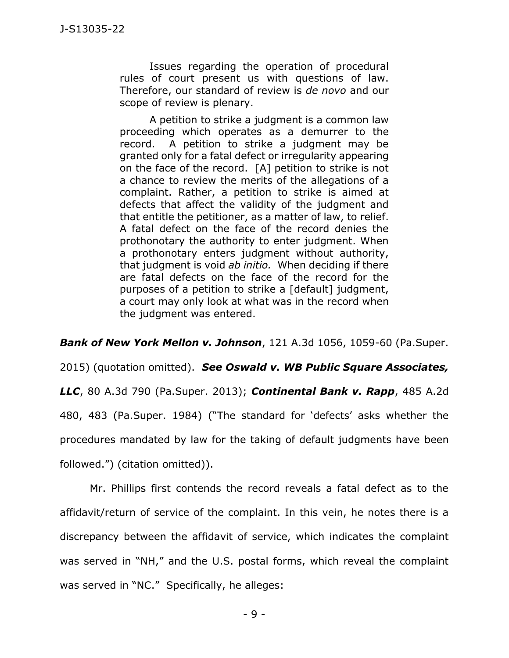Issues regarding the operation of procedural rules of court present us with questions of law. Therefore, our standard of review is *de novo* and our scope of review is plenary.

A petition to strike a judgment is a common law proceeding which operates as a demurrer to the record. A petition to strike a judgment may be granted only for a fatal defect or irregularity appearing on the face of the record. [A] petition to strike is not a chance to review the merits of the allegations of a complaint. Rather, a petition to strike is aimed at defects that affect the validity of the judgment and that entitle the petitioner, as a matter of law, to relief. A fatal defect on the face of the record denies the prothonotary the authority to enter judgment. When a prothonotary enters judgment without authority, that judgment is void *ab initio.* When deciding if there are fatal defects on the face of the record for the purposes of a petition to strike a [default] judgment, a court may only look at what was in the record when the judgment was entered.

*Bank of New York Mellon v. Johnson*, 121 A.3d 1056, 1059-60 (Pa.Super.

2015) (quotation omitted). *See Oswald v. WB Public Square Associates,* 

*LLC*, 80 A.3d 790 (Pa.Super. 2013); *Continental Bank v. Rapp*, 485 A.2d 480, 483 (Pa.Super. 1984) ("The standard for 'defects' asks whether the procedures mandated by law for the taking of default judgments have been followed.") (citation omitted)).

Mr. Phillips first contends the record reveals a fatal defect as to the affidavit/return of service of the complaint. In this vein, he notes there is a discrepancy between the affidavit of service, which indicates the complaint was served in "NH," and the U.S. postal forms, which reveal the complaint was served in "NC." Specifically, he alleges: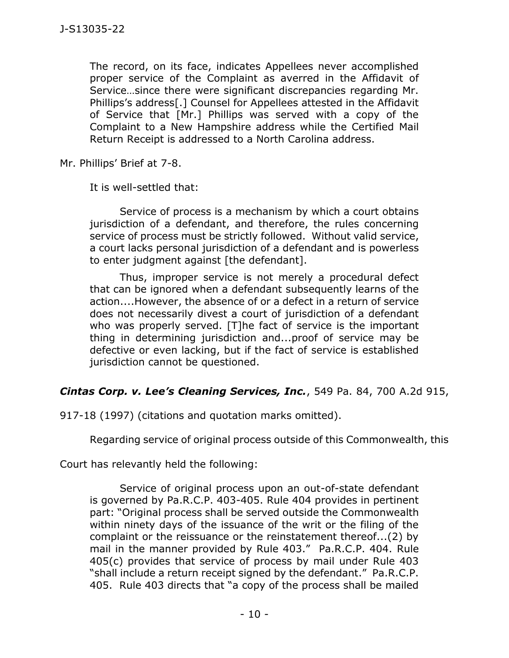The record, on its face, indicates Appellees never accomplished proper service of the Complaint as averred in the Affidavit of Service…since there were significant discrepancies regarding Mr. Phillips's address[.] Counsel for Appellees attested in the Affidavit of Service that [Mr.] Phillips was served with a copy of the Complaint to a New Hampshire address while the Certified Mail Return Receipt is addressed to a North Carolina address.

Mr. Phillips' Brief at 7-8.

It is well-settled that:

Service of process is a mechanism by which a court obtains jurisdiction of a defendant, and therefore, the rules concerning service of process must be strictly followed. Without valid service, a court lacks personal jurisdiction of a defendant and is powerless to enter judgment against [the defendant].

Thus, improper service is not merely a procedural defect that can be ignored when a defendant subsequently learns of the action....However, the absence of or a defect in a return of service does not necessarily divest a court of jurisdiction of a defendant who was properly served. [T]he fact of service is the important thing in determining jurisdiction and...proof of service may be defective or even lacking, but if the fact of service is established jurisdiction cannot be questioned.

#### *Cintas Corp. v. Lee's Cleaning Services, Inc.*, 549 Pa. 84, 700 A.2d 915,

917-18 (1997) (citations and quotation marks omitted).

Regarding service of original process outside of this Commonwealth, this

Court has relevantly held the following:

Service of original process upon an out-of-state defendant is governed by Pa.R.C.P. 403-405. Rule 404 provides in pertinent part: "Original process shall be served outside the Commonwealth within ninety days of the issuance of the writ or the filing of the complaint or the reissuance or the reinstatement thereof...(2) by mail in the manner provided by Rule 403." Pa.R.C.P. 404. Rule 405(c) provides that service of process by mail under Rule 403 "shall include a return receipt signed by the defendant." Pa.R.C.P. 405. Rule 403 directs that "a copy of the process shall be mailed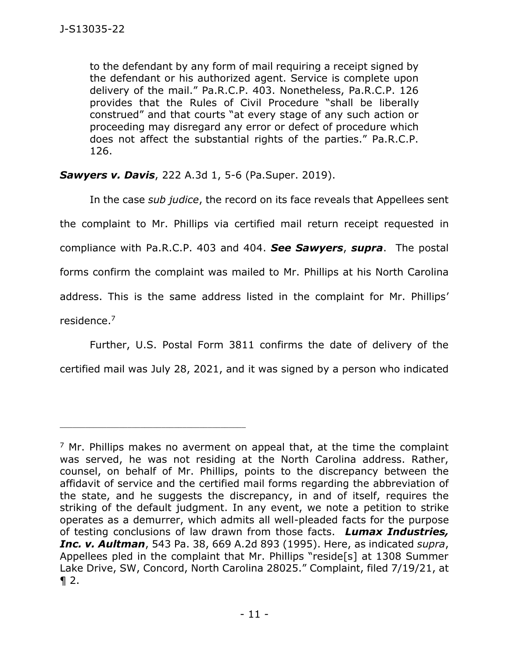to the defendant by any form of mail requiring a receipt signed by the defendant or his authorized agent. Service is complete upon delivery of the mail." Pa.R.C.P. 403. Nonetheless, Pa.R.C.P. 126 provides that the Rules of Civil Procedure "shall be liberally construed" and that courts "at every stage of any such action or proceeding may disregard any error or defect of procedure which does not affect the substantial rights of the parties." Pa.R.C.P. 126.

*Sawyers v. Davis*, 222 A.3d 1, 5-6 (Pa.Super. 2019).

\_\_\_\_\_\_\_\_\_\_\_\_\_\_\_\_\_\_\_\_\_\_\_\_\_\_\_\_\_\_\_\_\_\_\_\_\_\_\_\_\_\_\_\_

In the case *sub judice*, the record on its face reveals that Appellees sent the complaint to Mr. Phillips via certified mail return receipt requested in compliance with Pa.R.C.P. 403 and 404. *See Sawyers*, *supra*. The postal forms confirm the complaint was mailed to Mr. Phillips at his North Carolina address. This is the same address listed in the complaint for Mr. Phillips' residence. 7

Further, U.S. Postal Form 3811 confirms the date of delivery of the certified mail was July 28, 2021, and it was signed by a person who indicated

 $<sup>7</sup>$  Mr. Phillips makes no averment on appeal that, at the time the complaint</sup> was served, he was not residing at the North Carolina address. Rather, counsel, on behalf of Mr. Phillips, points to the discrepancy between the affidavit of service and the certified mail forms regarding the abbreviation of the state, and he suggests the discrepancy, in and of itself, requires the striking of the default judgment. In any event, we note a petition to strike operates as a demurrer, which admits all well-pleaded facts for the purpose of testing conclusions of law drawn from those facts. *Lumax Industries, Inc. v. Aultman*, 543 Pa. 38, 669 A.2d 893 (1995). Here, as indicated *supra*, Appellees pled in the complaint that Mr. Phillips "reside[s] at 1308 Summer Lake Drive, SW, Concord, North Carolina 28025." Complaint, filed 7/19/21, at  $\P 2.$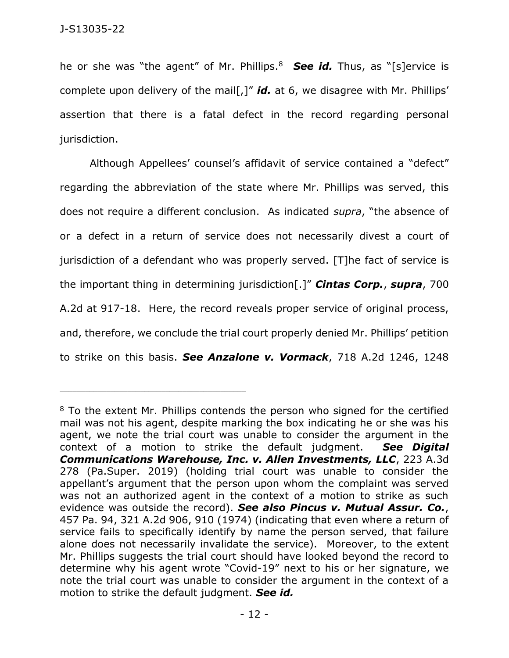he or she was "the agent" of Mr. Phillips.<sup>8</sup> *See id.* Thus, as "[s]ervice is complete upon delivery of the mail[,]" *id.* at 6, we disagree with Mr. Phillips' assertion that there is a fatal defect in the record regarding personal jurisdiction.

Although Appellees' counsel's affidavit of service contained a "defect" regarding the abbreviation of the state where Mr. Phillips was served, this does not require a different conclusion. As indicated *supra*, "the absence of or a defect in a return of service does not necessarily divest a court of jurisdiction of a defendant who was properly served. [T]he fact of service is the important thing in determining jurisdiction[.]" *Cintas Corp.*, *supra*, 700 A.2d at 917-18. Here, the record reveals proper service of original process, and, therefore, we conclude the trial court properly denied Mr. Phillips' petition to strike on this basis. *See Anzalone v. Vormack*, 718 A.2d 1246, 1248

<sup>&</sup>lt;sup>8</sup> To the extent Mr. Phillips contends the person who signed for the certified mail was not his agent, despite marking the box indicating he or she was his agent, we note the trial court was unable to consider the argument in the context of a motion to strike the default judgment. *See Digital Communications Warehouse, Inc. v. Allen Investments, LLC*, 223 A.3d 278 (Pa.Super. 2019) (holding trial court was unable to consider the appellant's argument that the person upon whom the complaint was served was not an authorized agent in the context of a motion to strike as such evidence was outside the record). *See also Pincus v. Mutual Assur. Co.*, 457 Pa. 94, 321 A.2d 906, 910 (1974) (indicating that even where a return of service fails to specifically identify by name the person served, that failure alone does not necessarily invalidate the service). Moreover, to the extent Mr. Phillips suggests the trial court should have looked beyond the record to determine why his agent wrote "Covid-19" next to his or her signature, we note the trial court was unable to consider the argument in the context of a motion to strike the default judgment. *See id.*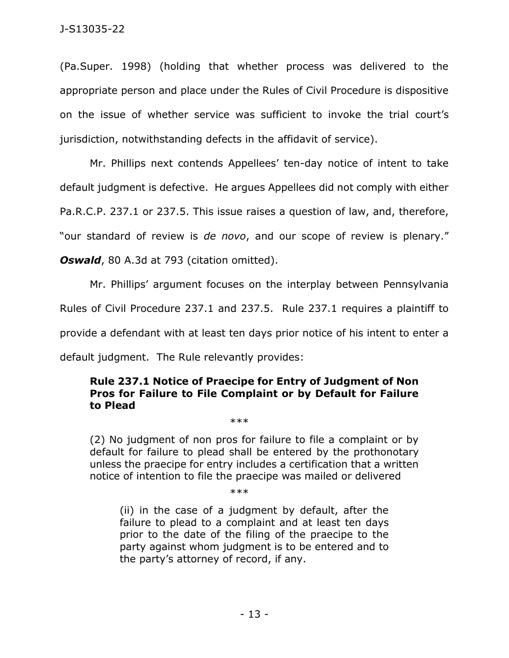(Pa.Super. 1998) (holding that whether process was delivered to the appropriate person and place under the Rules of Civil Procedure is dispositive on the issue of whether service was sufficient to invoke the trial court's jurisdiction, notwithstanding defects in the affidavit of service).

Mr. Phillips next contends Appellees' ten-day notice of intent to take default judgment is defective. He argues Appellees did not comply with either Pa.R.C.P. 237.1 or 237.5. This issue raises a question of law, and, therefore, "our standard of review is *de novo*, and our scope of review is plenary."

**Oswald**, 80 [A.3d at 793 \(](https://1.next.westlaw.com/Link/Document/FullText?findType=Y&serNum=2031920768&pubNum=0007691&originatingDoc=I250a31c0219c11e885eba619ffcfa2b1&refType=RP&fi=co_pp_sp_7691_793&originationContext=document&transitionType=DocumentItem&ppcid=091fa241c727418681022d25d2635ef6&contextData=(sc.Keycite)#co_pp_sp_7691_793)citation omitted).

Mr. Phillips' argument focuses on the interplay between Pennsylvania Rules of Civil Procedure 237.1 and 237.5. Rule 237.1 requires a plaintiff to provide a defendant with at least ten days prior notice of his intent to enter a default judgment. The Rule relevantly provides:

## **Rule 237.1 Notice of Praecipe for Entry of Judgment of Non Pros for Failure to File Complaint or by Default for Failure to Plead**

\*\*\*

(2) No judgment of non pros for failure to file a complaint or by default for failure to plead shall be entered by the prothonotary unless the praecipe for entry includes a certification that a written notice of intention to file the praecipe was mailed or delivered

\*\*\*

(ii) in the case of a judgment by default, after the failure to plead to a complaint and at least ten days prior to the date of the filing of the praecipe to the party against whom judgment is to be entered and to the party's attorney of record, if any.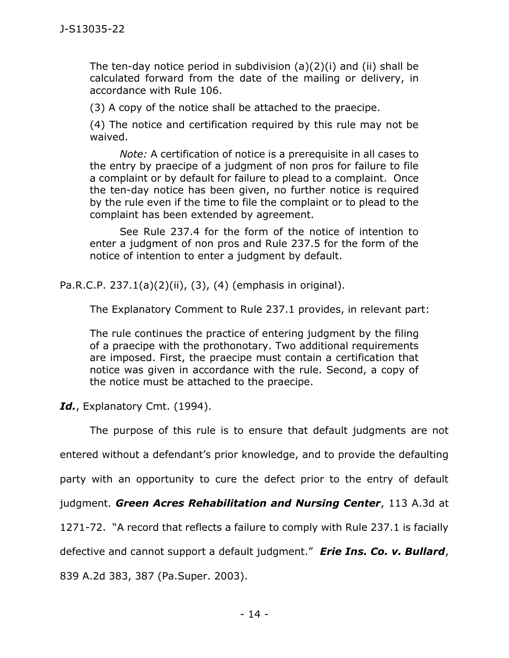The ten-day notice period in subdivision (a)(2)(i) and (ii) shall be calculated forward from the date of the mailing or delivery, in accordance with Rule 106.

(3) A copy of the notice shall be attached to the praecipe.

(4) The notice and certification required by this rule may not be waived.

*Note:* A certification of notice is a prerequisite in all cases to the entry by praecipe of a judgment of non pros for failure to file a complaint or by default for failure to plead to a complaint. Once the ten-day notice has been given, no further notice is required by the rule even if the time to file the complaint or to plead to the complaint has been extended by agreement.

See Rule 237.4 for the form of the notice of intention to enter a judgment of non pros and Rule 237.5 for the form of the notice of intention to enter a judgment by default.

Pa.R.C.P. 237.1(a)(2)(ii), (3), (4) (emphasis in original).

The Explanatory Comment to [Rule 237.1](https://1.next.westlaw.com/Link/Document/FullText?findType=L&pubNum=1000781&cite=PASTRCPR237.1&originatingDoc=Idefe7c90b0b211ecac179f65adb548d6&refType=LQ&originationContext=document&transitionType=DocumentItem&ppcid=3c4e43deb9ee40738f7dfd8c70e9cd8c&contextData=(sc.Search)) provides, in relevant part:

The rule continues the practice of entering judgment by the filing of a praecipe with the prothonotary. Two additional requirements are imposed. First, the praecipe must contain a certification that notice was given in accordance with the rule. Second, a copy of the notice must be attached to the praecipe.

Id., Explanatory Cmt. (1994).

The purpose of this rule is to ensure that default judgments are not

entered without a defendant's prior knowledge, and to provide the defaulting

party with an opportunity to cure the defect prior to the entry of default

judgment. *Green Acres Rehabilitation and Nursing Center*, 113 A.3d at

1271-72. "A record that reflects a failure to comply with Rule 237.1 is facially

defective and cannot support a default judgment." *Erie Ins. Co. v. Bullard*,

839 A.2d 383, 387 (Pa.Super. 2003).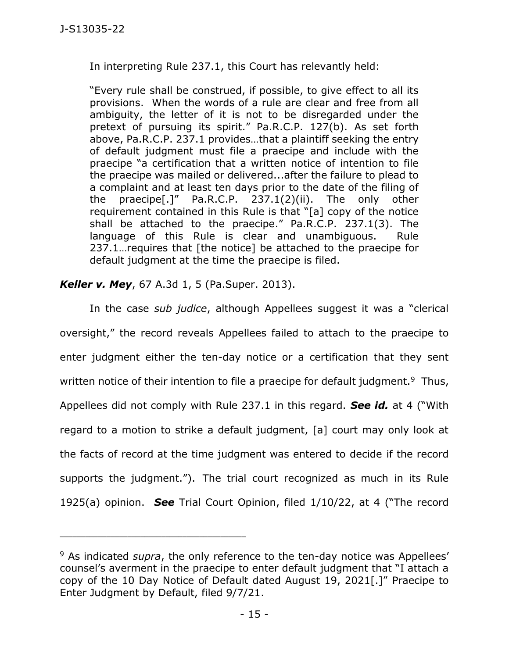In interpreting Rule 237.1, this Court has relevantly held:

"Every rule shall be construed, if possible, to give effect to all its provisions. When the words of a rule are clear and free from all ambiguity, the letter of it is not to be disregarded under the pretext of pursuing its spirit." Pa.R.C.P. 127(b). As set forth above, Pa.R.C.P. 237.1 provides…that a plaintiff seeking the entry of default judgment must file a praecipe and include with the praecipe "a certification that a written notice of intention to file the praecipe was mailed or delivered...after the failure to plead to a complaint and at least ten days prior to the date of the filing of the praecipe[.]" Pa.R.C.P. 237.1(2)(ii). The only other requirement contained in this Rule is that "[a] copy of the notice shall be attached to the praecipe." Pa.R.C.P. 237.1(3). The language of this Rule is clear and unambiguous. Rule 237.1…requires that [the notice] be attached to the praecipe for default judgment at the time the praecipe is filed.

# *Keller v. Mey*, 67 A.3d 1, 5 (Pa.Super. 2013).

\_\_\_\_\_\_\_\_\_\_\_\_\_\_\_\_\_\_\_\_\_\_\_\_\_\_\_\_\_\_\_\_\_\_\_\_\_\_\_\_\_\_\_\_

In the case *sub judice*, although Appellees suggest it was a "clerical oversight," the record reveals Appellees failed to attach to the praecipe to enter judgment either the ten-day notice or a certification that they sent written notice of their intention to file a praecipe for default judgment.<sup>9</sup> Thus, Appellees did not comply with Rule 237.1 in this regard. *See id.* at 4 ("With regard to a motion to strike a default judgment, [a] court may only look at the facts of record at the time judgment was entered to decide if the record supports the judgment."). The trial court recognized as much in its Rule 1925(a) opinion. *See* Trial Court Opinion, filed 1/10/22, at 4 ("The record

<sup>9</sup> As indicated *supra*, the only reference to the ten-day notice was Appellees' counsel's averment in the praecipe to enter default judgment that "I attach a copy of the 10 Day Notice of Default dated August 19, 2021[.]" Praecipe to Enter Judgment by Default, filed 9/7/21.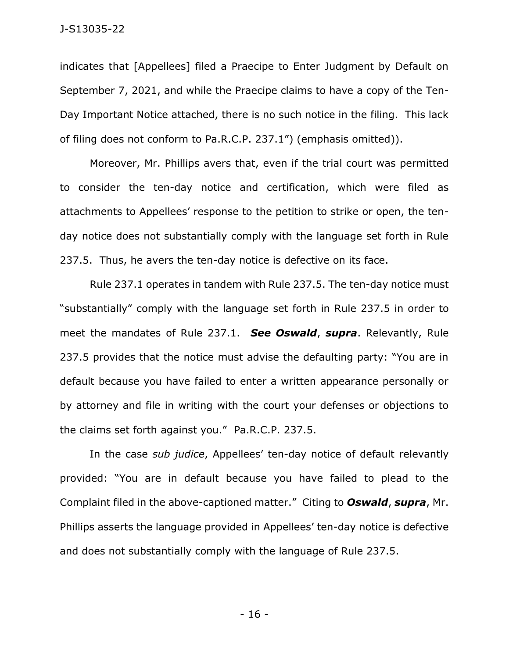indicates that [Appellees] filed a Praecipe to Enter Judgment by Default on September 7, 2021, and while the Praecipe claims to have a copy of the Ten-Day Important Notice attached, there is no such notice in the filing. This lack of filing does not conform to Pa.R.C.P. 237.1") (emphasis omitted)).

Moreover, Mr. Phillips avers that, even if the trial court was permitted to consider the ten-day notice and certification, which were filed as attachments to Appellees' response to the petition to strike or open, the tenday notice does not substantially comply with the language set forth in Rule 237.5. Thus, he avers the ten-day notice is defective on its face.

Rule 237.1 operates in tandem with Rule 237.5. The ten-day notice must "substantially" comply with the language set forth in Rule 237.5 in order to meet the mandates of Rule 237.1. *See Oswald*, *supra*. Relevantly, Rule 237.5 provides that the notice must advise the defaulting party: "You are in default because you have failed to enter a written appearance personally or by attorney and file in writing with the court your defenses or objections to the claims set forth against you." Pa.R.C.P. 237.5.

In the case *sub judice*, Appellees' ten-day notice of default relevantly provided: "You are in default because you have failed to plead to the Complaint filed in the above-captioned matter." Citing to *Oswald*, *supra*, Mr. Phillips asserts the language provided in Appellees' ten-day notice is defective and does not substantially comply with the language of Rule 237.5.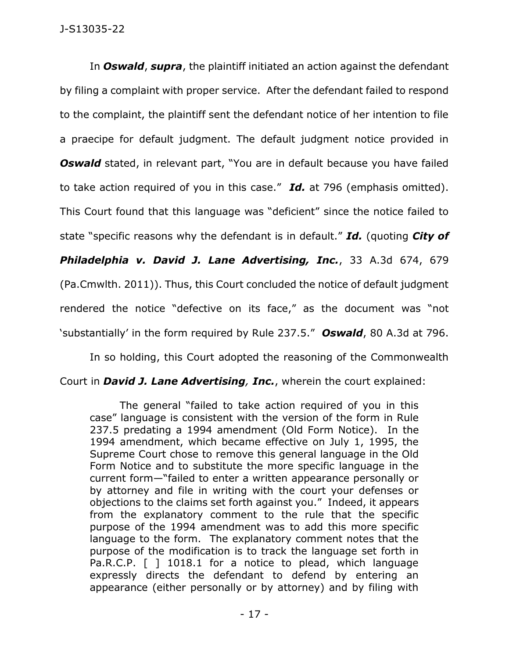In *Oswald*, *supra*, the plaintiff initiated an action against the defendant by filing a complaint with proper service. After the defendant failed to respond to the complaint, the plaintiff sent the defendant notice of her intention to file a praecipe for default judgment. The default judgment notice provided in **Oswald** stated, in relevant part, "You are in default because you have failed to take action required of you in this case." *Id.* at 796 (emphasis omitted). This Court found that this language was "deficient" since the notice failed to state "specific reasons why the defendant is in default." *Id.* (quoting *City of Philadelphia v. David J. Lane Advertising, Inc.*, 33 A.3d 674, 679 (Pa.Cmwlth. 2011)). Thus, this Court concluded the notice of default judgment rendered the notice "defective on its face," as the document was "not 'substantially' in the form required by Rule 237.5." *Oswald*, 80 A.3d at 796.

In so holding, this Court adopted the reasoning of the Commonwealth Court in *David J. Lane Advertising, Inc.*, wherein the court explained:

The general "failed to take action required of you in this case" language is consistent with the version of the form in Rule 237.5 predating a 1994 amendment (Old Form Notice). In the 1994 amendment, which became effective on July 1, 1995, the Supreme Court chose to remove this general language in the Old Form Notice and to substitute the more specific language in the current form—"failed to enter a written appearance personally or by attorney and file in writing with the court your defenses or objections to the claims set forth against you." Indeed, it appears from the explanatory comment to the rule that the specific purpose of the 1994 amendment was to add this more specific language to the form. The explanatory comment notes that the purpose of the modification is to track the language set forth in Pa.R.C.P. [ ] 1018.1 for a notice to plead, which language expressly directs the defendant to defend by entering an appearance (either personally or by attorney) and by filing with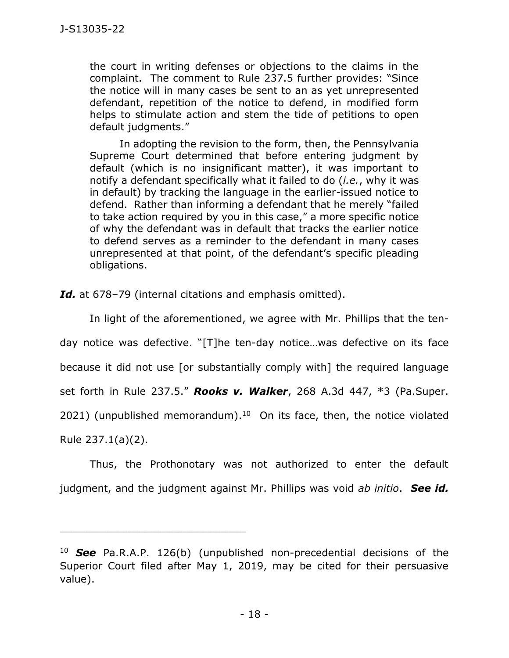the court in writing defenses or objections to the claims in the complaint. The comment to Rule 237.5 further provides: "Since the notice will in many cases be sent to an as yet unrepresented defendant, repetition of the notice to defend, in modified form helps to stimulate action and stem the tide of petitions to open default judgments."

In adopting the revision to the form, then, the Pennsylvania Supreme Court determined that before entering judgment by default (which is no insignificant matter), it was important to notify a defendant specifically what it failed to do (*i.e.*, why it was in default) by tracking the language in the earlier-issued notice to defend. Rather than informing a defendant that he merely "failed to take action required by you in this case," a more specific notice of why the defendant was in default that tracks the earlier notice to defend serves as a reminder to the defendant in many cases unrepresented at that point, of the defendant's specific pleading obligations.

*Id.* at 678–79 (internal citations and emphasis omitted).

In light of the aforementioned, we agree with Mr. Phillips that the tenday notice was defective. "[T]he ten-day notice…was defective on its face because it did not use [or substantially comply with] the required language set forth in Rule 237.5." *Rooks v. Walker*, 268 A.3d 447, \*3 (Pa.Super. 2021) (unpublished memorandum). 10 On its face, then, the notice violated

Rule 237.1(a)(2).

\_\_\_\_\_\_\_\_\_\_\_\_\_\_\_\_\_\_\_\_\_\_\_\_\_\_\_\_\_\_\_\_\_\_\_\_\_\_\_\_\_\_\_\_

Thus, the Prothonotary was not authorized to enter the default judgment, and the judgment against Mr. Phillips was void *ab initio*. *See id.* 

<sup>10</sup> *See* [Pa.R.A.P. 126\(b\)](https://1.next.westlaw.com/Link/Document/FullText?findType=L&pubNum=1000782&cite=PASTRAPR126&originatingDoc=I697d33d033cc11eb8c0bd9ea329472d4&refType=LQ&originationContext=document&transitionType=DocumentItem&ppcid=de7f4fb8c4e149c1a8d74f5b4589ab3d&contextData=(sc.Search)) (unpublished non-precedential decisions of the Superior Court filed after May 1, 2019, may be cited for their persuasive value).